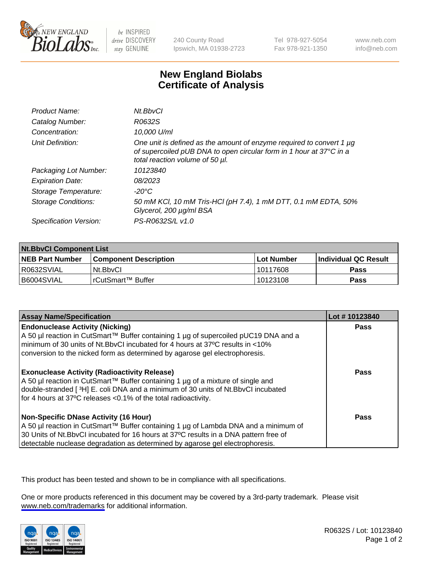

be INSPIRED drive DISCOVERY stay GENUINE

240 County Road Ipswich, MA 01938-2723 Tel 978-927-5054 Fax 978-921-1350

www.neb.com info@neb.com

## **New England Biolabs Certificate of Analysis**

| Product Name:              | Nt.BbvCl                                                                                                                                                                            |
|----------------------------|-------------------------------------------------------------------------------------------------------------------------------------------------------------------------------------|
| Catalog Number:            | R0632S                                                                                                                                                                              |
| Concentration:             | 10,000 U/ml                                                                                                                                                                         |
| Unit Definition:           | One unit is defined as the amount of enzyme required to convert 1 $\mu$ g<br>of supercoiled pUB DNA to open circular form in 1 hour at 37°C in a<br>total reaction volume of 50 µl. |
| Packaging Lot Number:      | 10123840                                                                                                                                                                            |
| <b>Expiration Date:</b>    | 08/2023                                                                                                                                                                             |
| Storage Temperature:       | -20°C                                                                                                                                                                               |
| <b>Storage Conditions:</b> | 50 mM KCl, 10 mM Tris-HCl (pH 7.4), 1 mM DTT, 0.1 mM EDTA, 50%<br>Glycerol, 200 µg/ml BSA                                                                                           |
| Specification Version:     | PS-R0632S/L v1.0                                                                                                                                                                    |

| <b>Nt.BbvCl Component List</b> |                         |              |                             |  |
|--------------------------------|-------------------------|--------------|-----------------------------|--|
| <b>NEB Part Number</b>         | l Component Description | l Lot Number | <b>Individual QC Result</b> |  |
| I R0632SVIAL                   | Nt.BbvCl                | 10117608     | Pass                        |  |
| I B6004SVIAL                   | l rCutSmart™ Buffer     | 10123108     | Pass                        |  |

| <b>Assay Name/Specification</b>                                                                                                                                                                                                                                                                         | Lot #10123840 |
|---------------------------------------------------------------------------------------------------------------------------------------------------------------------------------------------------------------------------------------------------------------------------------------------------------|---------------|
| <b>Endonuclease Activity (Nicking)</b><br>A 50 µl reaction in CutSmart™ Buffer containing 1 µg of supercoiled pUC19 DNA and a<br>minimum of 30 units of Nt.BbvCI incubated for 4 hours at 37°C results in <10%<br>conversion to the nicked form as determined by agarose gel electrophoresis.           | <b>Pass</b>   |
| <b>Exonuclease Activity (Radioactivity Release)</b><br>  A 50 µl reaction in CutSmart™ Buffer containing 1 µg of a mixture of single and<br>double-stranded [3H] E. coli DNA and a minimum of 30 units of Nt.BbvCl incubated<br>for 4 hours at 37°C releases <0.1% of the total radioactivity.          | <b>Pass</b>   |
| Non-Specific DNase Activity (16 Hour)<br>  A 50 µl reaction in CutSmart™ Buffer containing 1 µg of Lambda DNA and a minimum of<br>30 Units of Nt.BbvCl incubated for 16 hours at 37°C results in a DNA pattern free of<br>detectable nuclease degradation as determined by agarose gel electrophoresis. | <b>Pass</b>   |

This product has been tested and shown to be in compliance with all specifications.

One or more products referenced in this document may be covered by a 3rd-party trademark. Please visit <www.neb.com/trademarks>for additional information.